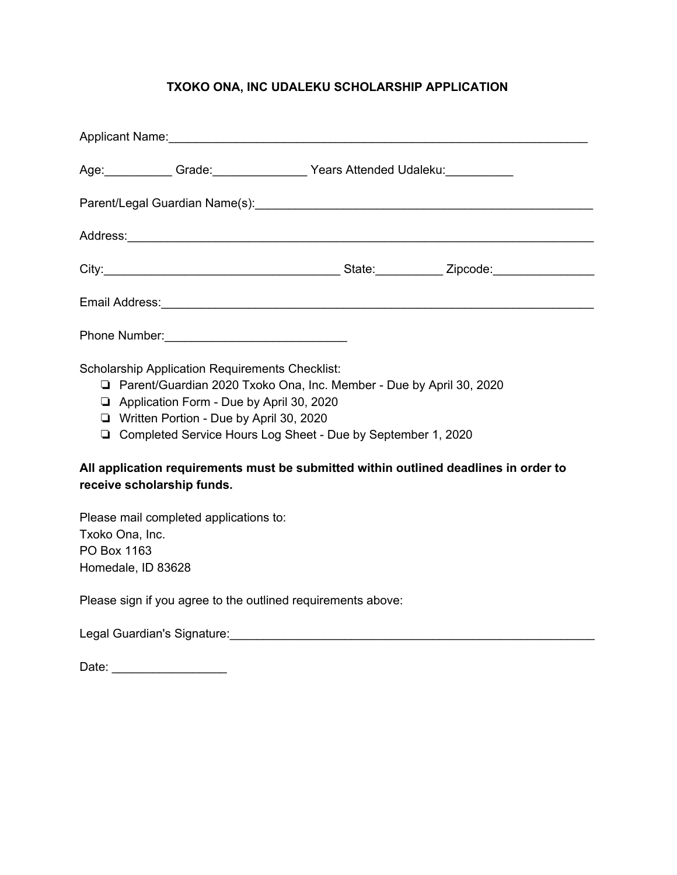## **TXOKO ONA, INC UDALEKU SCHOLARSHIP APPLICATION**

|                                                                                                                                                                                                                                                                                                                                                                                                                  |  | Age: Grade: Cambridge Contract Pears Attended Udaleku: Cambridge: Cambridge Contract Pears Attended Udaleku: |  |  |  |  |
|------------------------------------------------------------------------------------------------------------------------------------------------------------------------------------------------------------------------------------------------------------------------------------------------------------------------------------------------------------------------------------------------------------------|--|--------------------------------------------------------------------------------------------------------------|--|--|--|--|
| Parent/Legal Guardian Name(s): [2010] [2010] [2010] [2010] [2010] [2010] [2010] [2010] [2010] [2010] [2010] [2010] [                                                                                                                                                                                                                                                                                             |  |                                                                                                              |  |  |  |  |
|                                                                                                                                                                                                                                                                                                                                                                                                                  |  |                                                                                                              |  |  |  |  |
|                                                                                                                                                                                                                                                                                                                                                                                                                  |  |                                                                                                              |  |  |  |  |
|                                                                                                                                                                                                                                                                                                                                                                                                                  |  |                                                                                                              |  |  |  |  |
|                                                                                                                                                                                                                                                                                                                                                                                                                  |  |                                                                                                              |  |  |  |  |
| <b>Scholarship Application Requirements Checklist:</b><br>□ Parent/Guardian 2020 Txoko Ona, Inc. Member - Due by April 30, 2020<br>Application Form - Due by April 30, 2020<br>□ Written Portion - Due by April 30, 2020<br>□ Completed Service Hours Log Sheet - Due by September 1, 2020<br>All application requirements must be submitted within outlined deadlines in order to<br>receive scholarship funds. |  |                                                                                                              |  |  |  |  |
| Please mail completed applications to:<br>Txoko Ona, Inc.<br>PO Box 1163<br>Homedale, ID 83628                                                                                                                                                                                                                                                                                                                   |  |                                                                                                              |  |  |  |  |
| Please sign if you agree to the outlined requirements above:                                                                                                                                                                                                                                                                                                                                                     |  |                                                                                                              |  |  |  |  |
|                                                                                                                                                                                                                                                                                                                                                                                                                  |  |                                                                                                              |  |  |  |  |
|                                                                                                                                                                                                                                                                                                                                                                                                                  |  |                                                                                                              |  |  |  |  |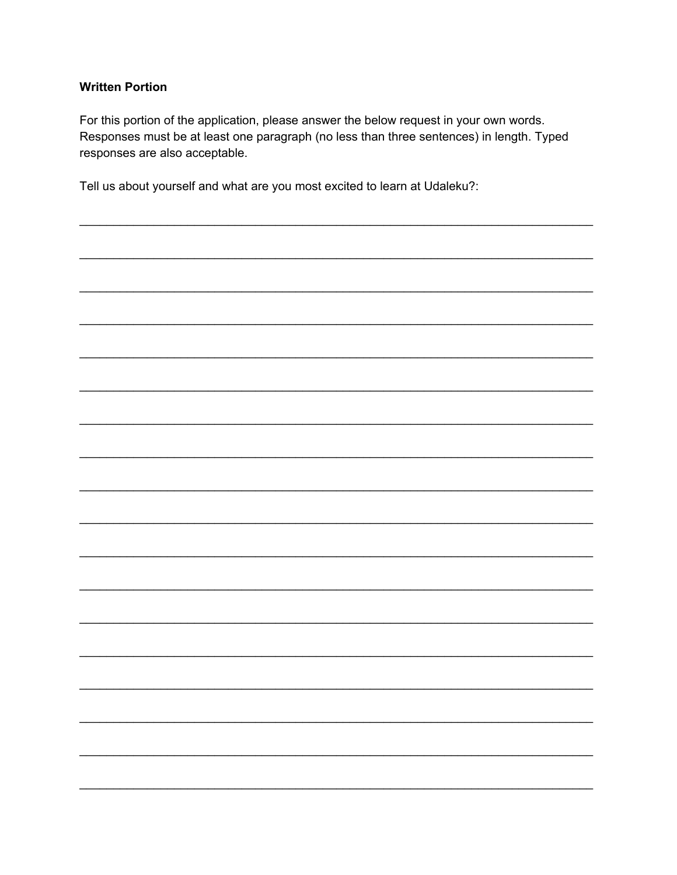## **Written Portion**

For this portion of the application, please answer the below request in your own words. Responses must be at least one paragraph (no less than three sentences) in length. Typed responses are also acceptable.

Tell us about yourself and what are you most excited to learn at Udaleku?: